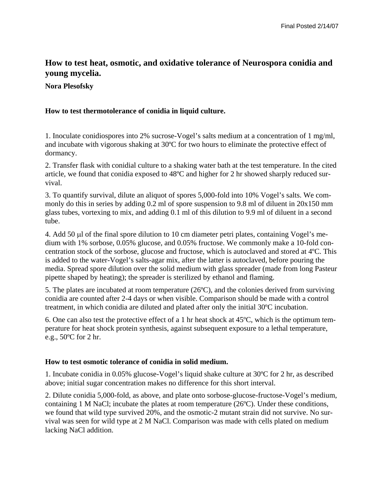# **How to test heat, osmotic, and oxidative tolerance of Neurospora conidia and young mycelia.**

# **Nora Plesofsky**

# **How to test thermotolerance of conidia in liquid culture.**

1. Inoculate conidiospores into 2% sucrose-Vogel's salts medium at a concentration of 1 mg/ml, and incubate with vigorous shaking at 30ºC for two hours to eliminate the protective effect of dormancy.

2. Transfer flask with conidial culture to a shaking water bath at the test temperature. In the cited article, we found that conidia exposed to 48ºC and higher for 2 hr showed sharply reduced survival.

3. To quantify survival, dilute an aliquot of spores 5,000-fold into 10% Vogel's salts. We commonly do this in series by adding 0.2 ml of spore suspension to 9.8 ml of diluent in 20x150 mm glass tubes, vortexing to mix, and adding 0.1 ml of this dilution to 9.9 ml of diluent in a second tube.

4. Add 50 µl of the final spore dilution to 10 cm diameter petri plates, containing Vogel's medium with 1% sorbose, 0.05% glucose, and 0.05% fructose. We commonly make a 10-fold concentration stock of the sorbose, glucose and fructose, which is autoclaved and stored at 4ºC. This is added to the water-Vogel's salts-agar mix, after the latter is autoclaved, before pouring the media. Spread spore dilution over the solid medium with glass spreader (made from long Pasteur pipette shaped by heating); the spreader is sterilized by ethanol and flaming.

5. The plates are incubated at room temperature (26ºC), and the colonies derived from surviving conidia are counted after 2-4 days or when visible. Comparison should be made with a control treatment, in which conidia are diluted and plated after only the initial 30ºC incubation.

6. One can also test the protective effect of a 1 hr heat shock at 45ºC, which is the optimum temperature for heat shock protein synthesis, against subsequent exposure to a lethal temperature, e.g., 50ºC for 2 hr.

### **How to test osmotic tolerance of conidia in solid medium.**

1. Incubate conidia in 0.05% glucose-Vogel's liquid shake culture at 30ºC for 2 hr, as described above; initial sugar concentration makes no difference for this short interval.

2. Dilute conidia 5,000-fold, as above, and plate onto sorbose-glucose-fructose-Vogel's medium, containing 1 M NaCl; incubate the plates at room temperature (26ºC). Under these conditions, we found that wild type survived 20%, and the osmotic-2 mutant strain did not survive. No survival was seen for wild type at 2 M NaCl. Comparison was made with cells plated on medium lacking NaCl addition.